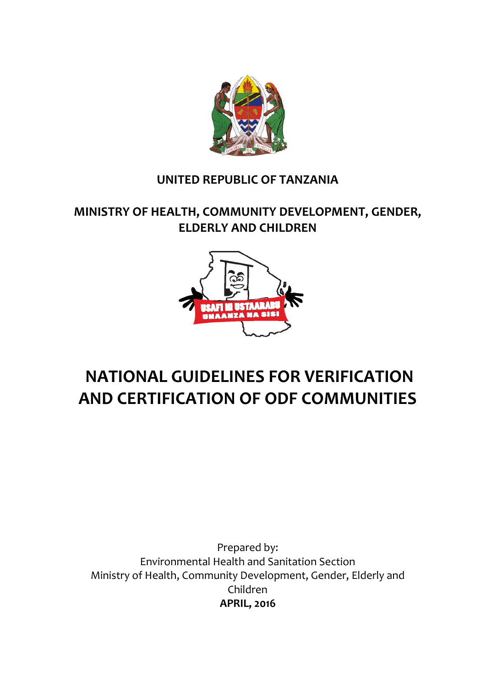

## **UNITED REPUBLIC OF TANZANIA**

## **MINISTRY OF HEALTH, COMMUNITY DEVELOPMENT, GENDER, ELDERLY AND CHILDREN**



## **NATIONAL GUIDELINES FOR VERIFICATION AND CERTIFICATION OF ODF COMMUNITIES**

Prepared by: Environmental Health and Sanitation Section Ministry of Health, Community Development, Gender, Elderly and Children **APRIL, 2016**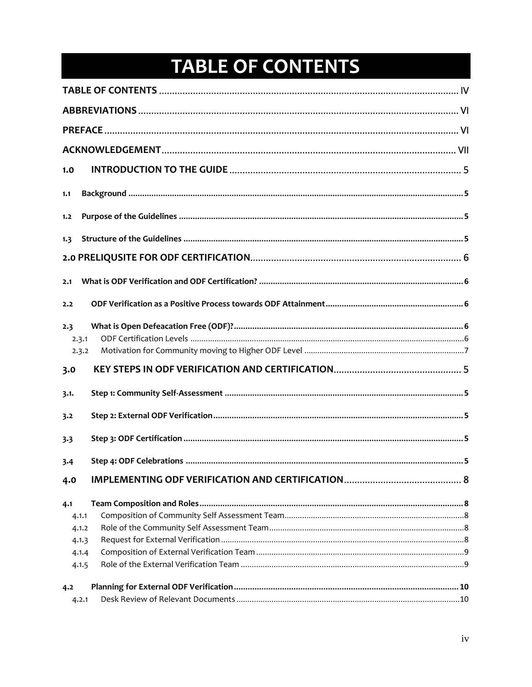# TABLE OF CONTENTS

<span id="page-1-0"></span>

| 1.0          |  |
|--------------|--|
| 1.1          |  |
| 1.2          |  |
| 1.3          |  |
|              |  |
| 2.1          |  |
| 2.2          |  |
| 2.3<br>2.3.1 |  |
| 2.3.2        |  |
| 3.0          |  |
| 3.1.         |  |
| 3.2          |  |
| 3.3          |  |
| 3.4          |  |
| 4.0          |  |
| 4.1          |  |
| 4.1.1        |  |
| 4.1.2        |  |
| 4.1.3        |  |
| 4.1.4        |  |
| 4.1.5        |  |
| 4.2          |  |
| 4.2.1        |  |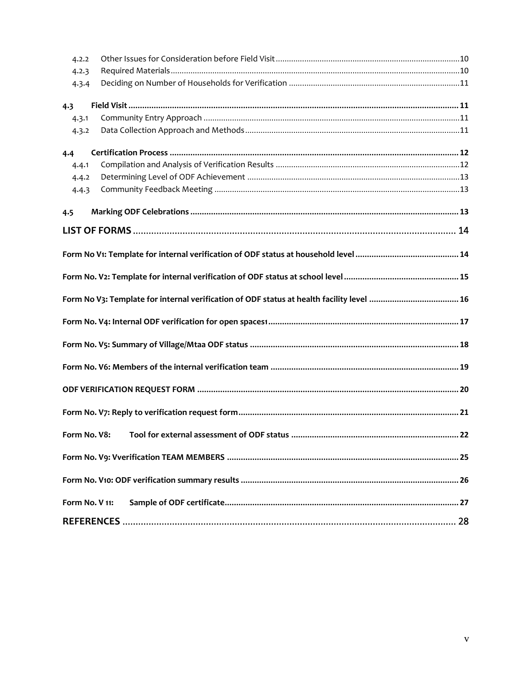| 4.2.2          |  |
|----------------|--|
| 4.2.3          |  |
| 4.3.4          |  |
| 4.3            |  |
| 4.3.1          |  |
| 4.3.2          |  |
| 4.4            |  |
| 4.4.1          |  |
| 4.4.2          |  |
| 4.4.3          |  |
| 4.5            |  |
|                |  |
|                |  |
|                |  |
|                |  |
|                |  |
|                |  |
|                |  |
|                |  |
|                |  |
|                |  |
| Form No. V8:   |  |
|                |  |
|                |  |
| Form No. V 11: |  |
|                |  |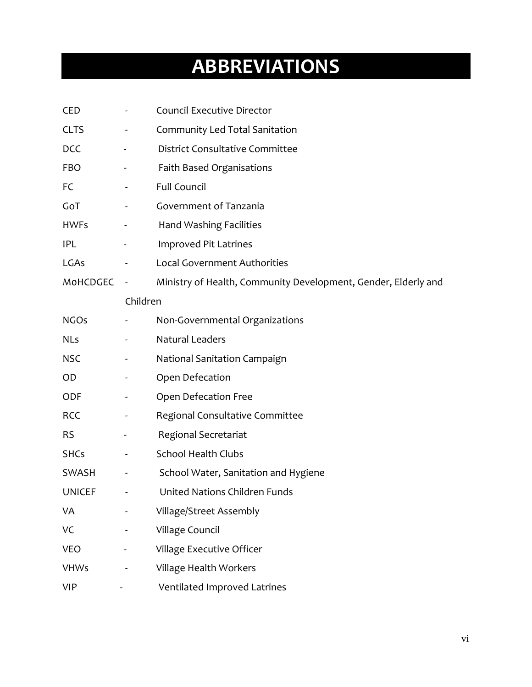# **ABBREVIATIONS**

<span id="page-3-0"></span>

| <b>CED</b>    |                          | <b>Council Executive Director</b>                              |
|---------------|--------------------------|----------------------------------------------------------------|
| <b>CLTS</b>   | -                        | Community Led Total Sanitation                                 |
| <b>DCC</b>    |                          | <b>District Consultative Committee</b>                         |
| <b>FBO</b>    |                          | Faith Based Organisations                                      |
| FC            |                          | <b>Full Council</b>                                            |
| GoT           | $\blacksquare$           | Government of Tanzania                                         |
| <b>HWFs</b>   |                          | Hand Washing Facilities                                        |
| <b>IPL</b>    |                          | Improved Pit Latrines                                          |
| LGAs          |                          | <b>Local Government Authorities</b>                            |
| MoHCDGEC      | $\sim$                   | Ministry of Health, Community Development, Gender, Elderly and |
|               | Children                 |                                                                |
| <b>NGOs</b>   |                          | Non-Governmental Organizations                                 |
| <b>NLs</b>    |                          | Natural Leaders                                                |
| <b>NSC</b>    | $\overline{\phantom{a}}$ | National Sanitation Campaign                                   |
| <b>OD</b>     |                          | Open Defecation                                                |
| <b>ODF</b>    |                          | Open Defecation Free                                           |
| <b>RCC</b>    | $\blacksquare$           | Regional Consultative Committee                                |
| <b>RS</b>     |                          | Regional Secretariat                                           |
| <b>SHCs</b>   |                          | <b>School Health Clubs</b>                                     |
| <b>SWASH</b>  | $\overline{\phantom{a}}$ | School Water, Sanitation and Hygiene                           |
| <b>UNICEF</b> | ÷                        | United Nations Children Funds                                  |
| VA            |                          | Village/Street Assembly                                        |
| VC            |                          | Village Council                                                |
| <b>VEO</b>    |                          | Village Executive Officer                                      |
| <b>VHWs</b>   |                          | Village Health Workers                                         |
| <b>VIP</b>    |                          | Ventilated Improved Latrines                                   |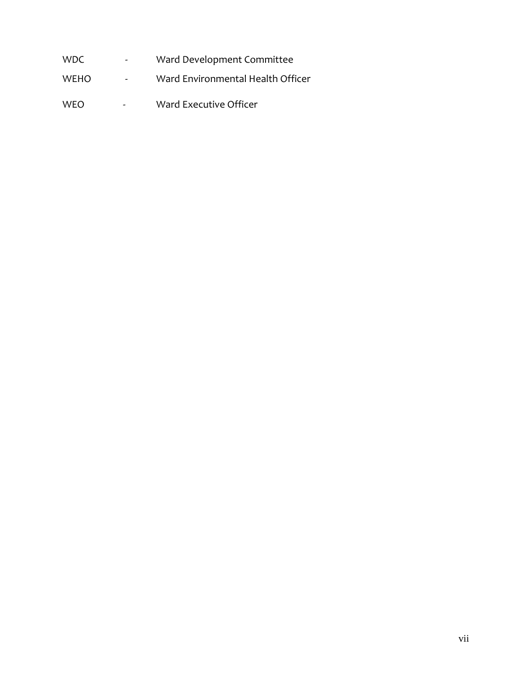WDC - Ward Development Committee WEHO - Ward Environmental Health Officer WEO - Ward Executive Officer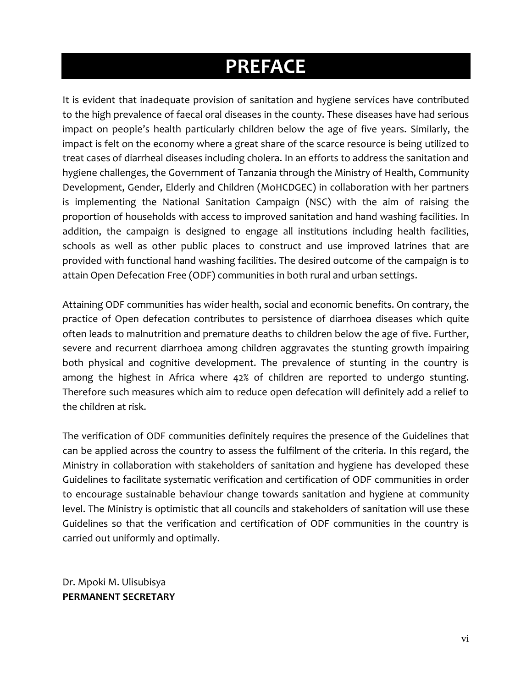## **PREFACE**

<span id="page-5-0"></span>It is evident that inadequate provision of sanitation and hygiene services have contributed to the high prevalence of faecal oral diseases in the county. These diseases have had serious impact on people's health particularly children below the age of five years. Similarly, the impact is felt on the economy where a great share of the scarce resource is being utilized to treat cases of diarrheal diseases including cholera. In an efforts to address the sanitation and hygiene challenges, the Government of Tanzania through the Ministry of Health, Community Development, Gender, Elderly and Children (MoHCDGEC) in collaboration with her partners is implementing the National Sanitation Campaign (NSC) with the aim of raising the proportion of households with access to improved sanitation and hand washing facilities. In addition, the campaign is designed to engage all institutions including health facilities, schools as well as other public places to construct and use improved latrines that are provided with functional hand washing facilities. The desired outcome of the campaign is to attain Open Defecation Free (ODF) communities in both rural and urban settings.

Attaining ODF communities has wider health, social and economic benefits. On contrary, the practice of Open defecation contributes to persistence of diarrhoea diseases which quite often leads to malnutrition and premature deaths to children below the age of five. Further, severe and recurrent diarrhoea among children aggravates the stunting growth impairing both physical and cognitive development. The prevalence of stunting in the country is among the highest in Africa where 42% of children are reported to undergo stunting. Therefore such measures which aim to reduce open defecation will definitely add a relief to the children at risk.

The verification of ODF communities definitely requires the presence of the Guidelines that can be applied across the country to assess the fulfilment of the criteria. In this regard, the Ministry in collaboration with stakeholders of sanitation and hygiene has developed these Guidelines to facilitate systematic verification and certification of ODF communities in order to encourage sustainable behaviour change towards sanitation and hygiene at community level. The Ministry is optimistic that all councils and stakeholders of sanitation will use these Guidelines so that the verification and certification of ODF communities in the country is carried out uniformly and optimally.

Dr. Mpoki M. Ulisubisya **PERMANENT SECRETARY**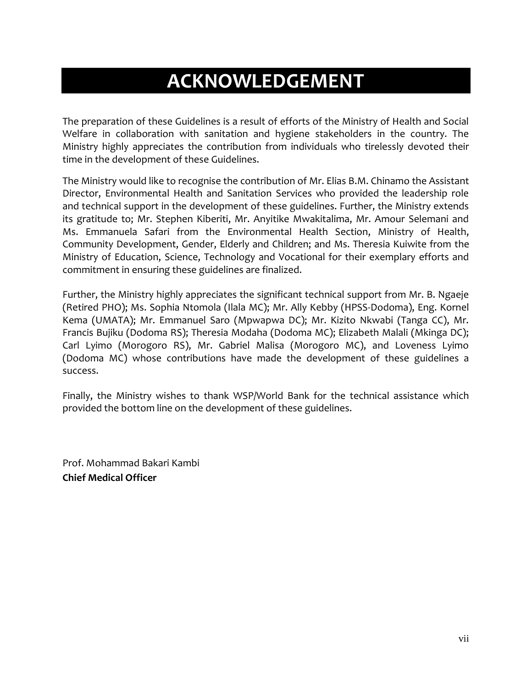## **ACKNOWLEDGEMENT**

<span id="page-6-0"></span>The preparation of these Guidelines is a result of efforts of the Ministry of Health and Social Welfare in collaboration with sanitation and hygiene stakeholders in the country. The Ministry highly appreciates the contribution from individuals who tirelessly devoted their time in the development of these Guidelines.

The Ministry would like to recognise the contribution of Mr. Elias B.M. Chinamo the Assistant Director, Environmental Health and Sanitation Services who provided the leadership role and technical support in the development of these guidelines. Further, the Ministry extends its gratitude to; Mr. Stephen Kiberiti, Mr. Anyitike Mwakitalima, Mr. Amour Selemani and Ms. Emmanuela Safari from the Environmental Health Section, Ministry of Health, Community Development, Gender, Elderly and Children; and Ms. Theresia Kuiwite from the Ministry of Education, Science, Technology and Vocational for their exemplary efforts and commitment in ensuring these guidelines are finalized.

Further, the Ministry highly appreciates the significant technical support from Mr. B. Ngaeje (Retired PHO); Ms. Sophia Ntomola (Ilala MC); Mr. Ally Kebby (HPSS-Dodoma), Eng. Kornel Kema (UMATA); Mr. Emmanuel Saro (Mpwapwa DC); Mr. Kizito Nkwabi (Tanga CC), Mr. Francis Bujiku (Dodoma RS); Theresia Modaha (Dodoma MC); Elizabeth Malali (Mkinga DC); Carl Lyimo (Morogoro RS), Mr. Gabriel Malisa (Morogoro MC), and Loveness Lyimo (Dodoma MC) whose contributions have made the development of these guidelines a success.

Finally, the Ministry wishes to thank WSP/World Bank for the technical assistance which provided the bottom line on the development of these guidelines.

Prof. Mohammad Bakari Kambi **Chief Medical Officer**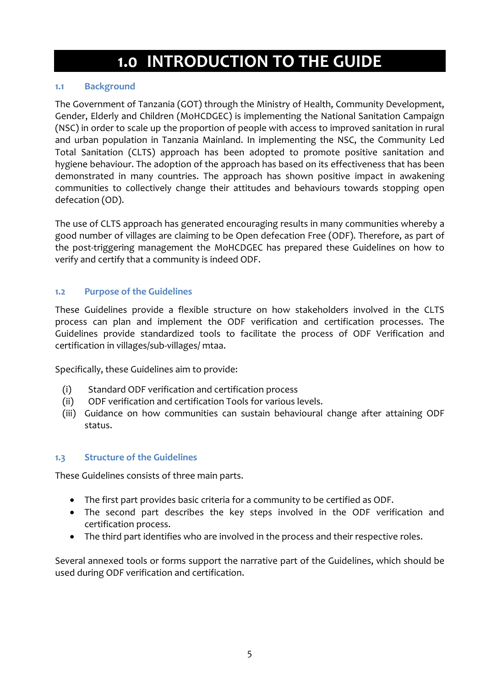## **1.0 INTRODUCTION TO THE GUIDE**

### <span id="page-7-1"></span><span id="page-7-0"></span>**1.1 Background**

The Government of Tanzania (GOT) through the Ministry of Health, Community Development, Gender, Elderly and Children (MoHCDGEC) is implementing the National Sanitation Campaign (NSC) in order to scale up the proportion of people with access to improved sanitation in rural and urban population in Tanzania Mainland. In implementing the NSC, the Community Led Total Sanitation (CLTS) approach has been adopted to promote positive sanitation and hygiene behaviour. The adoption of the approach has based on its effectiveness that has been demonstrated in many countries. The approach has shown positive impact in awakening communities to collectively change their attitudes and behaviours towards stopping open defecation (OD).

<span id="page-7-2"></span>The use of CLTS approach has generated encouraging results in many communities whereby a good number of villages are claiming to be Open defecation Free (ODF). Therefore, as part of the post-triggering management the MoHCDGEC has prepared these Guidelines on how to verify and certify that a community is indeed ODF.

### **1.2 Purpose of the Guidelines**

These Guidelines provide a flexible structure on how stakeholders involved in the CLTS process can plan and implement the ODF verification and certification processes. The Guidelines provide standardized tools to facilitate the process of ODF Verification and certification in villages/sub-villages/ mtaa.

Specifically, these Guidelines aim to provide:

- (i) Standard ODF verification and certification process
- (ii) ODF verification and certification Tools for various levels.
- <span id="page-7-3"></span>(iii) Guidance on how communities can sustain behavioural change after attaining ODF status.

### **1.3 Structure of the Guidelines**

These Guidelines consists of three main parts.

- The first part provides basic criteria for a community to be certified as ODF.
- The second part describes the key steps involved in the ODF verification and certification process.
- The third part identifies who are involved in the process and their respective roles.

Several annexed tools or forms support the narrative part of the Guidelines, which should be used during ODF verification and certification.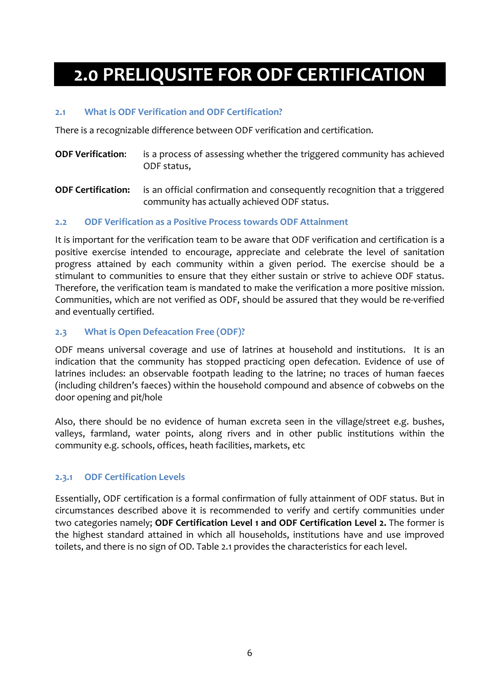# <span id="page-8-1"></span><span id="page-8-0"></span>**2.0 PRELIQUSITE FOR ODF CERTIFICATION**

### **2.1 What is ODF Verification and ODF Certification?**

There is a recognizable difference between ODF verification and certification.

- **ODF Verification:** is a process of assessing whether the triggered community has achieved ODF status,
- <span id="page-8-2"></span>**ODF Certification:** is an official confirmation and consequently recognition that a triggered community has actually achieved ODF status.

### **2.2 ODF Verification as a Positive Process towards ODF Attainment**

<span id="page-8-3"></span>It is important for the verification team to be aware that ODF verification and certification is a positive exercise intended to encourage, appreciate and celebrate the level of sanitation progress attained by each community within a given period. The exercise should be a stimulant to communities to ensure that they either sustain or strive to achieve ODF status. Therefore, the verification team is mandated to make the verification a more positive mission. Communities, which are not verified as ODF, should be assured that they would be re-verified and eventually certified.

#### **2.3 What is Open Defeacation Free (ODF)?**

ODF means universal coverage and use of latrines at household and institutions. It is an indication that the community has stopped practicing open defecation. Evidence of use of latrines includes: an observable footpath leading to the latrine; no traces of human faeces (including children's faeces) within the household compound and absence of cobwebs on the door opening and pit/hole

<span id="page-8-4"></span>Also, there should be no evidence of human excreta seen in the village/street e.g. bushes, valleys, farmland, water points, along rivers and in other public institutions within the community e.g. schools, offices, heath facilities, markets, etc

### **2.3.1 ODF Certification Levels**

Essentially, ODF certification is a formal confirmation of fully attainment of ODF status. But in circumstances described above it is recommended to verify and certify communities under two categories namely; **ODF Certification Level 1 and ODF Certification Level 2.** The former is the highest standard attained in which all households, institutions have and use improved toilets, and there is no sign of OD. Table 2.1 provides the characteristics for each level.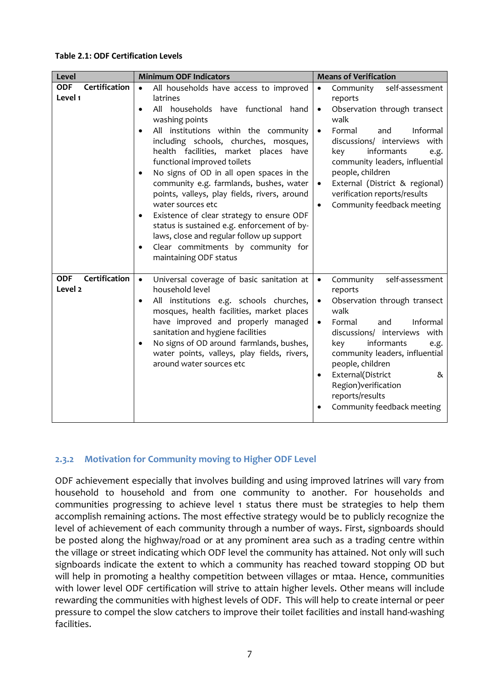#### **Table 2.1: ODF Certification Levels**

| Level                                             | <b>Minimum ODF Indicators</b>                                                                                                                                                                                                                                                                                                                                                                                                                                                                                                                                                                                                                                                               | <b>Means of Verification</b>                                                                                                                                                                                                                                                                                                                                                                        |  |  |  |  |  |  |
|---------------------------------------------------|---------------------------------------------------------------------------------------------------------------------------------------------------------------------------------------------------------------------------------------------------------------------------------------------------------------------------------------------------------------------------------------------------------------------------------------------------------------------------------------------------------------------------------------------------------------------------------------------------------------------------------------------------------------------------------------------|-----------------------------------------------------------------------------------------------------------------------------------------------------------------------------------------------------------------------------------------------------------------------------------------------------------------------------------------------------------------------------------------------------|--|--|--|--|--|--|
| Certification<br><b>ODF</b><br>Level 1            | All households have access to improved<br>$\bullet$<br>latrines<br>All households have functional hand<br>$\bullet$<br>washing points<br>All institutions within the community<br>including schools, churches, mosques,<br>health facilities, market places have<br>functional improved toilets<br>No signs of OD in all open spaces in the<br>٠<br>community e.g. farmlands, bushes, water<br>points, valleys, play fields, rivers, around<br>water sources etc<br>Existence of clear strategy to ensure ODF<br>٠<br>status is sustained e.g. enforcement of by-<br>laws, close and regular follow up support<br>Clear commitments by community for<br>$\bullet$<br>maintaining ODF status | self-assessment<br>Community<br>$\bullet$<br>reports<br>Observation through transect<br>$\bullet$<br>walk<br>Informal<br>Formal<br>and<br>$\bullet$<br>discussions/ interviews<br>with<br>informants<br>key<br>e.g.<br>community leaders, influential<br>people, children<br>External (District & regional)<br>$\bullet$<br>verification reports/results<br>Community feedback meeting<br>$\bullet$ |  |  |  |  |  |  |
| Certification<br><b>ODF</b><br>Level <sub>2</sub> | Universal coverage of basic sanitation at<br>$\bullet$<br>household level<br>All institutions e.g. schools churches,<br>$\bullet$<br>mosques, health facilities, market places<br>have improved and properly managed<br>sanitation and hygiene facilities<br>No signs of OD around farmlands, bushes,<br>water points, valleys, play fields, rivers,<br>around water sources etc                                                                                                                                                                                                                                                                                                            | Community<br>self-assessment<br>$\bullet$<br>reports<br>Observation through transect<br>$\bullet$<br>walk<br>Formal<br>Informal<br>and<br>$\bullet$<br>discussions/ interviews with<br>informants<br>key<br>e.g.<br>community leaders, influential<br>people, children<br>External(District<br>&<br>٠<br>Region) verification<br>reports/results<br>Community feedback meeting                      |  |  |  |  |  |  |

### <span id="page-9-0"></span>**2.3.2 Motivation for Community moving to Higher ODF Level**

ODF achievement especially that involves building and using improved latrines will vary from household to household and from one community to another. For households and communities progressing to achieve level 1 status there must be strategies to help them accomplish remaining actions. The most effective strategy would be to publicly recognize the level of achievement of each community through a number of ways. First, signboards should be posted along the highway/road or at any prominent area such as a trading centre within the village or street indicating which ODF level the community has attained. Not only will such signboards indicate the extent to which a community has reached toward stopping OD but will help in promoting a healthy competition between villages or mtaa. Hence, communities with lower level ODF certification will strive to attain higher levels. Other means will include rewarding the communities with highest levels of ODF. This will help to create internal or peer pressure to compel the slow catchers to improve their toilet facilities and install hand-washing facilities.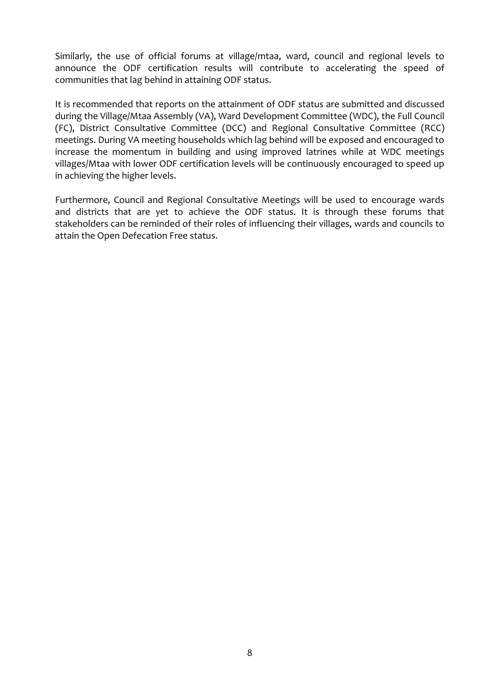Similarly, the use of official forums at village/mtaa, ward, council and regional levels to announce the ODF certification results will contribute to accelerating the speed of communities that lag behind in attaining ODF status.

It is recommended that reports on the attainment of ODF status are submitted and discussed during the Village/Mtaa Assembly (VA), Ward Development Committee (WDC), the Full Council (FC), District Consultative Committee (DCC) and Regional Consultative Committee (RCC) meetings. During VA meeting households which lag behind will be exposed and encouraged to increase the momentum in building and using improved latrines while at WDC meetings villages/Mtaa with lower ODF certification levels will be continuously encouraged to speed up in achieving the higher levels.

Furthermore, Council and Regional Consultative Meetings will be used to encourage wards and districts that are yet to achieve the ODF status. It is through these forums that stakeholders can be reminded of their roles of influencing their villages, wards and councils to attain the Open Defecation Free status.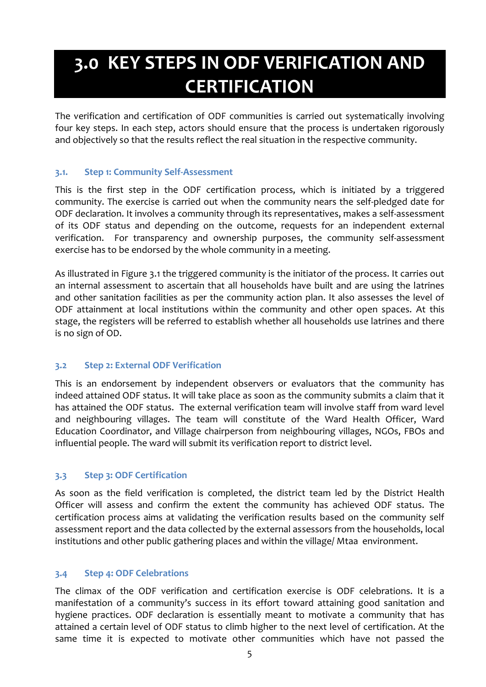# <span id="page-11-0"></span>**3.0 KEY STEPS IN ODF VERIFICATION AND CERTIFICATION**

<span id="page-11-1"></span>The verification and certification of ODF communities is carried out systematically involving four key steps. In each step, actors should ensure that the process is undertaken rigorously and objectively so that the results reflect the real situation in the respective community.

### **3.1. Step 1: Community Self-Assessment**

This is the first step in the ODF certification process, which is initiated by a triggered community. The exercise is carried out when the community nears the self-pledged date for ODF declaration. It involves a community through its representatives, makes a self-assessment of its ODF status and depending on the outcome, requests for an independent external verification. For transparency and ownership purposes, the community self-assessment exercise has to be endorsed by the whole community in a meeting.

<span id="page-11-2"></span>As illustrated in Figure 3.1 the triggered community is the initiator of the process. It carries out an internal assessment to ascertain that all households have built and are using the latrines and other sanitation facilities as per the community action plan. It also assesses the level of ODF attainment at local institutions within the community and other open spaces. At this stage, the registers will be referred to establish whether all households use latrines and there is no sign of OD.

## **3.2 Step 2: External ODF Verification**

<span id="page-11-3"></span>This is an endorsement by independent observers or evaluators that the community has indeed attained ODF status. It will take place as soon as the community submits a claim that it has attained the ODF status. The external verification team will involve staff from ward level and neighbouring villages. The team will constitute of the Ward Health Officer, Ward Education Coordinator, and Village chairperson from neighbouring villages, NGOs, FBOs and influential people. The ward will submit its verification report to district level.

## **3.3 Step 3: ODF Certification**

<span id="page-11-4"></span>As soon as the field verification is completed, the district team led by the District Health Officer will assess and confirm the extent the community has achieved ODF status. The certification process aims at validating the verification results based on the community self assessment report and the data collected by the external assessors from the households, local institutions and other public gathering places and within the village/ Mtaa environment.

### **3.4 Step 4: ODF Celebrations**

The climax of the ODF verification and certification exercise is ODF celebrations. It is a manifestation of a community's success in its effort toward attaining good sanitation and hygiene practices. ODF declaration is essentially meant to motivate a community that has attained a certain level of ODF status to climb higher to the next level of certification. At the same time it is expected to motivate other communities which have not passed the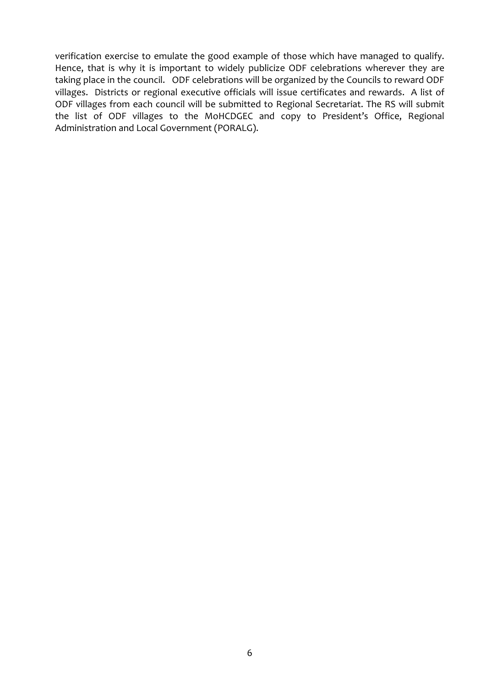verification exercise to emulate the good example of those which have managed to qualify. Hence, that is why it is important to widely publicize ODF celebrations wherever they are taking place in the council. ODF celebrations will be organized by the Councils to reward ODF villages. Districts or regional executive officials will issue certificates and rewards. A list of ODF villages from each council will be submitted to Regional Secretariat. The RS will submit the list of ODF villages to the MoHCDGEC and copy to President's Office, Regional Administration and Local Government (PORALG).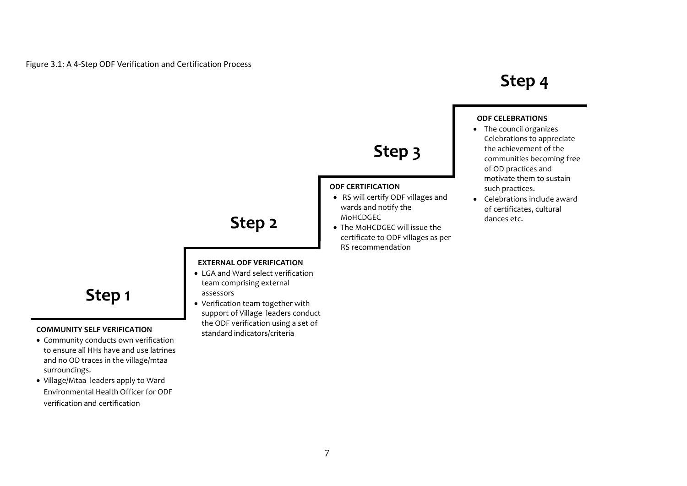## **Step 4**

# **Step 3**

#### **ODF CERTIFICATION**

- RS will certify ODF villages and wards and notify the MoHCDGEC
- The MoHCDGEC will issue the certificate to ODF villages as per RS recommendation

## **ODF CELEBRATIONS**

- The council organizes Celebrations to appreciate the achievement of the communities becoming free of OD practices and motivate them to sustain such practices.
- Celebrations include award of certificates, cultural dances etc.

# **Step 2**

#### **EXTERNAL ODF VERIFICATION**

- LGA and Ward select verification team comprising external assessors
- Verification team together with support of Village leaders conduct the ODF verification using a set of standard indicators/criteria

## **Step 1**

#### **COMMUNITY SELF VERIFICATION**

- Community conducts own verification to ensure all HHs have and use latrines and no OD traces in the village/mtaa surroundings.
- Village/Mtaa leaders apply to Ward Environmental Health Officer for ODF verification and certification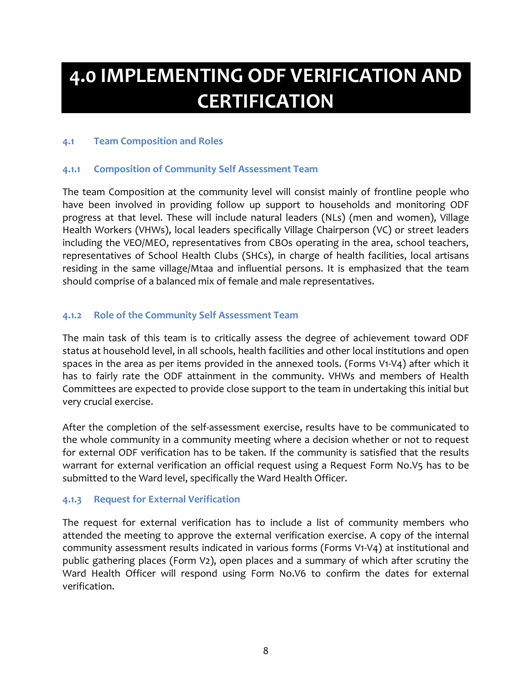# <span id="page-14-0"></span>**4.0 IMPLEMENTING ODF VERIFICATION AND CERTIFICATION**

### <span id="page-14-1"></span>**4.1 Team Composition and Roles**

#### <span id="page-14-2"></span>**4.1.1 Composition of Community Self Assessment Team**

The team Composition at the community level will consist mainly of frontline people who have been involved in providing follow up support to households and monitoring ODF progress at that level. These will include natural leaders (NLs) (men and women), Village Health Workers (VHWs), local leaders specifically Village Chairperson (VC) or street leaders including the VEO/MEO, representatives from CBOs operating in the area, school teachers, representatives of School Health Clubs (SHCs), in charge of health facilities, local artisans residing in the same village/Mtaa and influential persons. It is emphasized that the team should comprise of a balanced mix of female and male representatives.

#### <span id="page-14-3"></span>**4.1.2 Role of the Community Self Assessment Team**

The main task of this team is to critically assess the degree of achievement toward ODF status at household level, in all schools, health facilities and other local institutions and open spaces in the area as per items provided in the annexed tools. (Forms V1-V4) after which it has to fairly rate the ODF attainment in the community. VHWs and members of Health Committees are expected to provide close support to the team in undertaking this initial but very crucial exercise.

After the completion of the self-assessment exercise, results have to be communicated to the whole community in a community meeting where a decision whether or not to request for external ODF verification has to be taken. If the community is satisfied that the results warrant for external verification an official request using a Request Form No.V5 has to be submitted to the Ward level, specifically the Ward Health Officer.

#### <span id="page-14-4"></span>**4.1.3 Request for External Verification**

The request for external verification has to include a list of community members who attended the meeting to approve the external verification exercise. A copy of the internal community assessment results indicated in various forms (Forms V1-V4) at institutional and public gathering places (Form V2), open places and a summary of which after scrutiny the Ward Health Officer will respond using Form No.V6 to confirm the dates for external verification.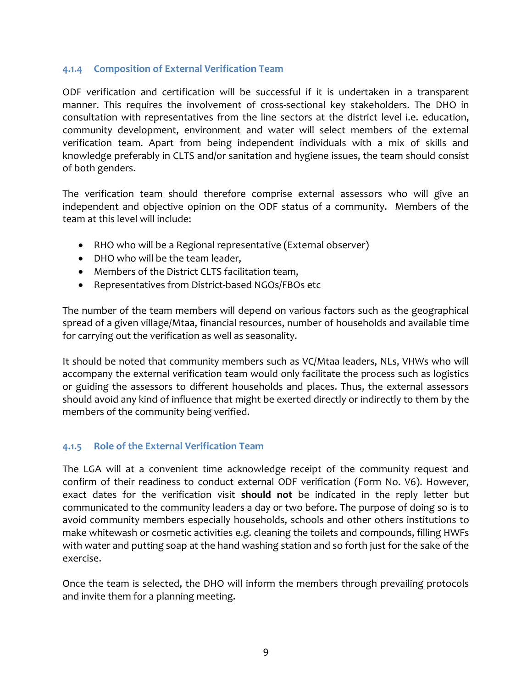#### <span id="page-15-0"></span>**4.1.4 Composition of External Verification Team**

ODF verification and certification will be successful if it is undertaken in a transparent manner. This requires the involvement of cross-sectional key stakeholders. The DHO in consultation with representatives from the line sectors at the district level i.e. education, community development, environment and water will select members of the external verification team. Apart from being independent individuals with a mix of skills and knowledge preferably in CLTS and/or sanitation and hygiene issues, the team should consist of both genders.

The verification team should therefore comprise external assessors who will give an independent and objective opinion on the ODF status of a community. Members of the team at this level will include:

- RHO who will be a Regional representative (External observer)
- DHO who will be the team leader,
- Members of the District CLTS facilitation team,
- Representatives from District-based NGOs/FBOs etc

The number of the team members will depend on various factors such as the geographical spread of a given village/Mtaa, financial resources, number of households and available time for carrying out the verification as well as seasonality.

It should be noted that community members such as VC/Mtaa leaders, NLs, VHWs who will accompany the external verification team would only facilitate the process such as logistics or guiding the assessors to different households and places. Thus, the external assessors should avoid any kind of influence that might be exerted directly or indirectly to them by the members of the community being verified.

### <span id="page-15-1"></span>**4.1.5 Role of the External Verification Team**

The LGA will at a convenient time acknowledge receipt of the community request and confirm of their readiness to conduct external ODF verification (Form No. V6). However, exact dates for the verification visit **should not** be indicated in the reply letter but communicated to the community leaders a day or two before. The purpose of doing so is to avoid community members especially households, schools and other others institutions to make whitewash or cosmetic activities e.g. cleaning the toilets and compounds, filling HWFs with water and putting soap at the hand washing station and so forth just for the sake of the exercise.

Once the team is selected, the DHO will inform the members through prevailing protocols and invite them for a planning meeting.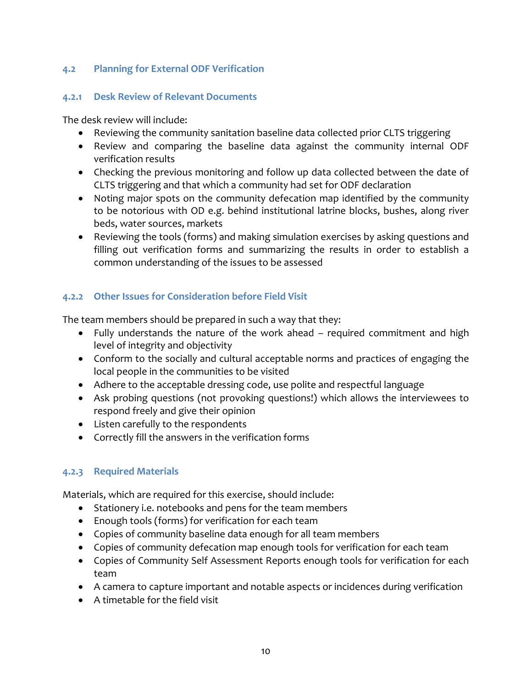### <span id="page-16-0"></span>**4.2 Planning for External ODF Verification**

#### <span id="page-16-1"></span>**4.2.1 Desk Review of Relevant Documents**

The desk review will include:

- Reviewing the community sanitation baseline data collected prior CLTS triggering
- Review and comparing the baseline data against the community internal ODF verification results
- Checking the previous monitoring and follow up data collected between the date of CLTS triggering and that which a community had set for ODF declaration
- Noting major spots on the community defecation map identified by the community to be notorious with OD e.g. behind institutional latrine blocks, bushes, along river beds, water sources, markets
- Reviewing the tools (forms) and making simulation exercises by asking questions and filling out verification forms and summarizing the results in order to establish a common understanding of the issues to be assessed

## <span id="page-16-2"></span>**4.2.2 Other Issues for Consideration before Field Visit**

The team members should be prepared in such a way that they:

- Fully understands the nature of the work ahead required commitment and high level of integrity and objectivity
- Conform to the socially and cultural acceptable norms and practices of engaging the local people in the communities to be visited
- Adhere to the acceptable dressing code, use polite and respectful language
- Ask probing questions (not provoking questions!) which allows the interviewees to respond freely and give their opinion
- Listen carefully to the respondents
- Correctly fill the answers in the verification forms

## <span id="page-16-3"></span>**4.2.3 Required Materials**

Materials, which are required for this exercise, should include:

- Stationery i.e. notebooks and pens for the team members
- Enough tools (forms) for verification for each team
- Copies of community baseline data enough for all team members
- Copies of community defecation map enough tools for verification for each team
- Copies of Community Self Assessment Reports enough tools for verification for each team
- A camera to capture important and notable aspects or incidences during verification
- A timetable for the field visit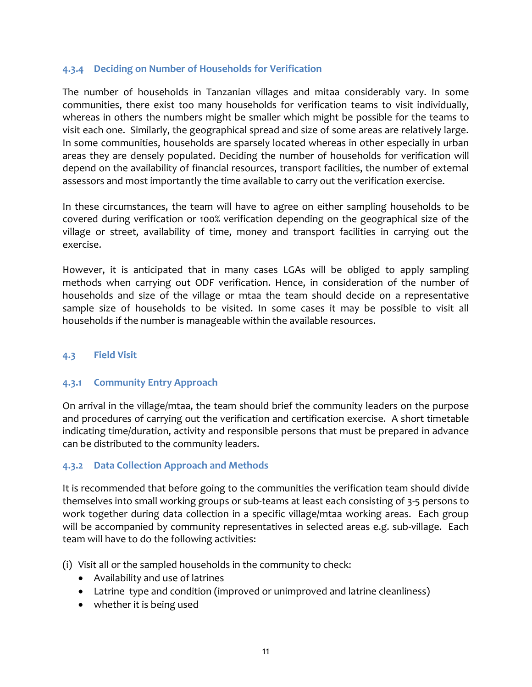#### <span id="page-17-0"></span>**4.3.4 Deciding on Number of Households for Verification**

The number of households in Tanzanian villages and mitaa considerably vary. In some communities, there exist too many households for verification teams to visit individually, whereas in others the numbers might be smaller which might be possible for the teams to visit each one. Similarly, the geographical spread and size of some areas are relatively large. In some communities, households are sparsely located whereas in other especially in urban areas they are densely populated. Deciding the number of households for verification will depend on the availability of financial resources, transport facilities, the number of external assessors and most importantly the time available to carry out the verification exercise.

In these circumstances, the team will have to agree on either sampling households to be covered during verification or 100% verification depending on the geographical size of the village or street, availability of time, money and transport facilities in carrying out the exercise.

However, it is anticipated that in many cases LGAs will be obliged to apply sampling methods when carrying out ODF verification. Hence, in consideration of the number of households and size of the village or mtaa the team should decide on a representative sample size of households to be visited. In some cases it may be possible to visit all households if the number is manageable within the available resources.

### <span id="page-17-1"></span>**4.3 Field Visit**

### <span id="page-17-2"></span>**4.3.1 Community Entry Approach**

On arrival in the village/mtaa, the team should brief the community leaders on the purpose and procedures of carrying out the verification and certification exercise. A short timetable indicating time/duration, activity and responsible persons that must be prepared in advance can be distributed to the community leaders.

### <span id="page-17-3"></span>**4.3.2 Data Collection Approach and Methods**

It is recommended that before going to the communities the verification team should divide themselves into small working groups or sub-teams at least each consisting of 3-5 persons to work together during data collection in a specific village/mtaa working areas. Each group will be accompanied by community representatives in selected areas e.g. sub-village. Each team will have to do the following activities:

(i) Visit all or the sampled households in the community to check:

- Availability and use of latrines
- Latrine type and condition (improved or unimproved and latrine cleanliness)
- whether it is being used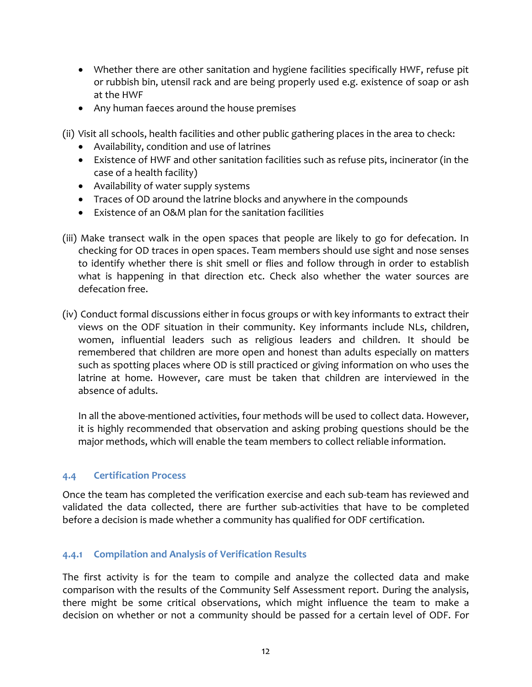- Whether there are other sanitation and hygiene facilities specifically HWF, refuse pit or rubbish bin, utensil rack and are being properly used e.g. existence of soap or ash at the HWF
- Any human faeces around the house premises

(ii) Visit all schools, health facilities and other public gathering places in the area to check:

- Availability, condition and use of latrines
- Existence of HWF and other sanitation facilities such as refuse pits, incinerator (in the case of a health facility)
- Availability of water supply systems
- Traces of OD around the latrine blocks and anywhere in the compounds
- Existence of an O&M plan for the sanitation facilities
- (iii) Make transect walk in the open spaces that people are likely to go for defecation. In checking for OD traces in open spaces. Team members should use sight and nose senses to identify whether there is shit smell or flies and follow through in order to establish what is happening in that direction etc. Check also whether the water sources are defecation free.
- (iv) Conduct formal discussions either in focus groups or with key informants to extract their views on the ODF situation in their community. Key informants include NLs, children, women, influential leaders such as religious leaders and children. It should be remembered that children are more open and honest than adults especially on matters such as spotting places where OD is still practiced or giving information on who uses the latrine at home. However, care must be taken that children are interviewed in the absence of adults.

In all the above-mentioned activities, four methods will be used to collect data. However, it is highly recommended that observation and asking probing questions should be the major methods, which will enable the team members to collect reliable information.

### <span id="page-18-0"></span>**4.4 Certification Process**

Once the team has completed the verification exercise and each sub-team has reviewed and validated the data collected, there are further sub-activities that have to be completed before a decision is made whether a community has qualified for ODF certification.

### <span id="page-18-1"></span>**4.4.1 Compilation and Analysis of Verification Results**

The first activity is for the team to compile and analyze the collected data and make comparison with the results of the Community Self Assessment report. During the analysis, there might be some critical observations, which might influence the team to make a decision on whether or not a community should be passed for a certain level of ODF. For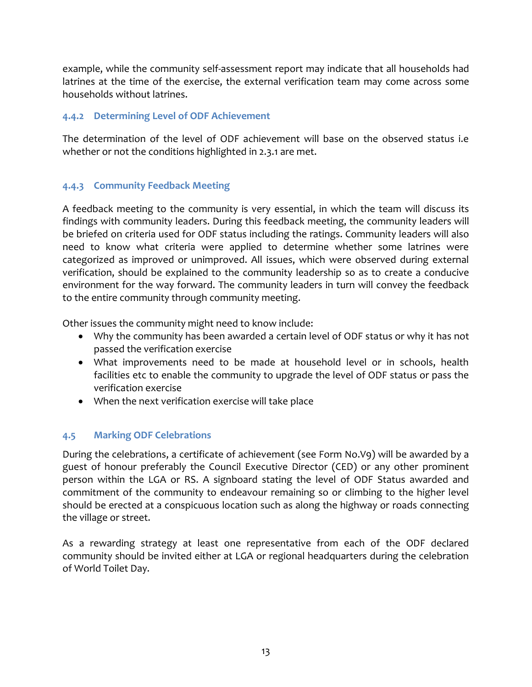example, while the community self-assessment report may indicate that all households had latrines at the time of the exercise, the external verification team may come across some households without latrines.

### <span id="page-19-0"></span>**4.4.2 Determining Level of ODF Achievement**

The determination of the level of ODF achievement will base on the observed status i.e whether or not the conditions highlighted in 2.3.1 are met.

## <span id="page-19-1"></span>**4.4.3 Community Feedback Meeting**

A feedback meeting to the community is very essential, in which the team will discuss its findings with community leaders. During this feedback meeting, the community leaders will be briefed on criteria used for ODF status including the ratings. Community leaders will also need to know what criteria were applied to determine whether some latrines were categorized as improved or unimproved. All issues, which were observed during external verification, should be explained to the community leadership so as to create a conducive environment for the way forward. The community leaders in turn will convey the feedback to the entire community through community meeting.

Other issues the community might need to know include:

- Why the community has been awarded a certain level of ODF status or why it has not passed the verification exercise
- What improvements need to be made at household level or in schools, health facilities etc to enable the community to upgrade the level of ODF status or pass the verification exercise
- When the next verification exercise will take place

## <span id="page-19-2"></span>**4.5 Marking ODF Celebrations**

During the celebrations, a certificate of achievement (see Form No.V9) will be awarded by a guest of honour preferably the Council Executive Director (CED) or any other prominent person within the LGA or RS. A signboard stating the level of ODF Status awarded and commitment of the community to endeavour remaining so or climbing to the higher level should be erected at a conspicuous location such as along the highway or roads connecting the village or street.

As a rewarding strategy at least one representative from each of the ODF declared community should be invited either at LGA or regional headquarters during the celebration of World Toilet Day.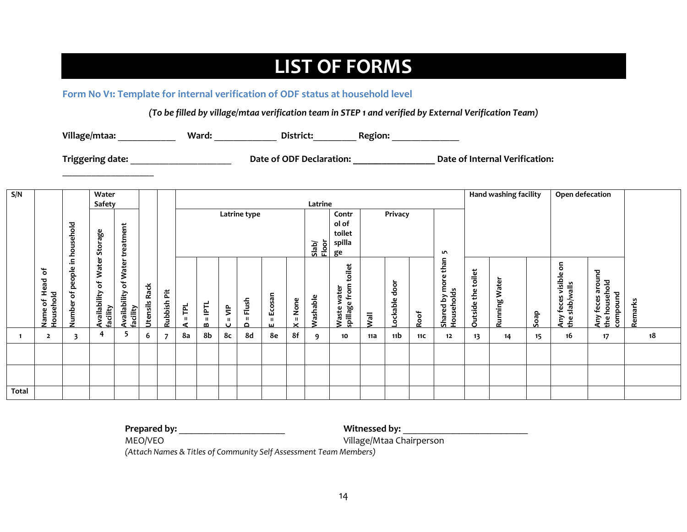## **LIST OF FORMS**

#### **Form No V1: Template for internal verification of ODF status at household level**

*(To be filled by village/mtaa verification team in STEP 1 and verified by External Verification Team)*

**Village/mtaa:** \_\_\_\_\_\_\_\_\_\_\_\_ **Ward:** \_\_\_\_\_\_\_\_\_\_\_\_\_ **District:**\_\_\_\_\_\_\_\_\_ **Region:** \_\_\_\_\_\_\_\_\_\_\_\_\_\_

<span id="page-20-1"></span><span id="page-20-0"></span>\_\_\_\_\_\_\_\_\_\_\_\_\_\_\_\_\_\_\_

**Triggering date:** \_\_\_\_\_\_\_\_\_\_\_\_\_\_\_\_\_\_\_\_\_ **Date of ODF Declaration: \_\_\_\_\_\_\_\_\_\_\_\_\_\_\_\_\_ Date of Internal Verification:**

| S/N          |                      |               | Water                    |                          |               |         |                                  |                     |            |           |              |              |                 |                   |      |                 | Hand washing facility |                              | Open defecation    |               |      |               |                               |         |    |
|--------------|----------------------|---------------|--------------------------|--------------------------|---------------|---------|----------------------------------|---------------------|------------|-----------|--------------|--------------|-----------------|-------------------|------|-----------------|-----------------------|------------------------------|--------------------|---------------|------|---------------|-------------------------------|---------|----|
|              |                      |               | Safety                   |                          |               |         |                                  |                     |            |           |              |              | Latrine         |                   |      |                 |                       |                              |                    |               |      |               |                               |         |    |
|              |                      |               |                          |                          |               |         | Latrine type<br>Privacy<br>Contr |                     |            |           |              |              |                 |                   |      |                 |                       |                              |                    |               |      |               |                               |         |    |
|              |                      | sehold        |                          |                          |               |         |                                  |                     |            |           |              |              |                 | ol of             |      |                 |                       |                              |                    |               |      |               |                               |         |    |
|              |                      |               |                          |                          |               |         |                                  |                     |            |           |              |              |                 | toilet            |      |                 |                       |                              |                    |               |      |               |                               |         |    |
|              |                      | hou:          | Storage                  | treatment                |               |         |                                  |                     |            |           |              |              | Vapl<br>Tior    | spilla            |      |                 |                       |                              |                    |               |      |               |                               |         |    |
|              |                      |               |                          |                          |               |         |                                  |                     |            |           |              |              |                 | ge                |      |                 |                       | LO <sub>1</sub>              |                    |               |      |               |                               |         |    |
|              | ৳                    | 크.            | Water                    |                          |               |         |                                  |                     |            |           |              |              |                 |                   |      |                 |                       | than                         |                    |               |      | ξ             |                               |         |    |
|              |                      | eople         |                          | of Water                 |               |         |                                  |                     |            |           |              |              |                 | toilet            |      |                 |                       |                              |                    |               |      | feces visible | feces around                  |         |    |
|              | Head                 | <u>م</u>      | $\mathbf{\dot{c}}$       |                          |               |         |                                  |                     |            |           |              |              |                 | from<br>ater      |      | door            |                       |                              |                    |               |      | slab/walls    | household                     |         |    |
|              |                      | ð             |                          |                          |               | ä       |                                  |                     |            |           |              |              |                 | ₹                 |      |                 |                       |                              |                    |               |      |               |                               |         |    |
|              |                      |               |                          |                          |               |         | Ē                                | $=$ $\overline{PT}$ | $\epsilon$ | $=$ Flush | Ecosan       | $=$ None     |                 |                   |      | ockable         |                       |                              |                    |               |      |               |                               |         |    |
|              | Household<br>Name of | <b>Number</b> | Availability<br>facility | Availability<br>facility | Jtensils Rack | Rubbish |                                  |                     | Ш          |           | $\mathbf{H}$ | $\mathbf{x}$ | <b>Nashable</b> | spillage<br>Waste | lleW |                 | Roof                  | Shared by more<br>Households | Outside the toilet | Running Water | Soap | Any<br>£      | compound<br>Any<br>$\epsilon$ | Remarks |    |
|              |                      |               | 4                        |                          |               |         |                                  | $\mathbf{a}$        | Ū          | $\Omega$  | ш            |              |                 |                   |      |                 |                       |                              |                    |               |      |               |                               |         |    |
|              | $\overline{2}$       | 3             |                          | $\mathbf{z}$             | 6             | 7       | 8а                               | 8b                  | 8с         | 8d        | 8e           | 8f           | 9               | 10                | 11a  | 11 <sub>b</sub> | <b>11C</b>            | 12                           | 13                 | 14            | 15   | 16            | 17                            |         | 18 |
|              |                      |               |                          |                          |               |         |                                  |                     |            |           |              |              |                 |                   |      |                 |                       |                              |                    |               |      |               |                               |         |    |
|              |                      |               |                          |                          |               |         |                                  |                     |            |           |              |              |                 |                   |      |                 |                       |                              |                    |               |      |               |                               |         |    |
|              |                      |               |                          |                          |               |         |                                  |                     |            |           |              |              |                 |                   |      |                 |                       |                              |                    |               |      |               |                               |         |    |
|              |                      |               |                          |                          |               |         |                                  |                     |            |           |              |              |                 |                   |      |                 |                       |                              |                    |               |      |               |                               |         |    |
| <b>Total</b> |                      |               |                          |                          |               |         |                                  |                     |            |           |              |              |                 |                   |      |                 |                       |                              |                    |               |      |               |                               |         |    |

**Prepared by:** \_\_\_\_\_\_\_\_\_\_\_\_\_\_\_\_\_\_\_\_\_\_ **Witnessed by:** \_\_\_\_\_\_\_\_\_\_\_\_\_\_\_\_\_\_\_\_\_\_\_\_\_\_

MEO/VEO **Village/Mtaa Chairperson** 

*(Attach Names & Titles of Community Self Assessment Team Members)*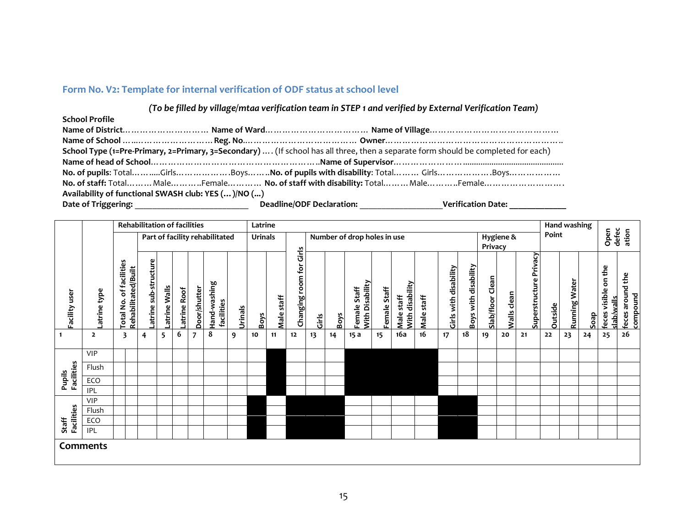### **Form No. V2: Template for internal verification of ODF status at school level**

#### *(To be filled by village/mtaa verification team in STEP 1 and verified by External Verification Team)*

| <b>School Profile</b>                                                                                                             |                                                 |                                  |
|-----------------------------------------------------------------------------------------------------------------------------------|-------------------------------------------------|----------------------------------|
|                                                                                                                                   |                                                 |                                  |
|                                                                                                                                   |                                                 |                                  |
| School Type (1=Pre-Primary, 2=Primary, 3=Secondary)  (If school has all three, then a separate form should be completed for each) |                                                 |                                  |
|                                                                                                                                   |                                                 |                                  |
|                                                                                                                                   |                                                 |                                  |
|                                                                                                                                   |                                                 |                                  |
| Availability of functional SWASH club: YES ()/NO ()                                                                               |                                                 |                                  |
|                                                                                                                                   | Deadline/ODF Declaration: _____________________ | Verification Date: _____________ |

<span id="page-21-0"></span>

|                     |                | <b>Rehabilitation of facilities</b>                                 |                      |              | Latrine     |              |                                |                |                |            |                            |                                                     |             |                                 |              |                               |            |                       |                      | Hand washing     |             |                        |                |                        |      |                                   |                              |
|---------------------|----------------|---------------------------------------------------------------------|----------------------|--------------|-------------|--------------|--------------------------------|----------------|----------------|------------|----------------------------|-----------------------------------------------------|-------------|---------------------------------|--------------|-------------------------------|------------|-----------------------|----------------------|------------------|-------------|------------------------|----------------|------------------------|------|-----------------------------------|------------------------------|
|                     |                |                                                                     |                      |              |             |              | Part of facility rehabilitated |                | <b>Urinals</b> |            |                            | Number of drop holes in use<br>Hygiene &<br>Privacy |             |                                 |              |                               |            |                       |                      |                  | Point       |                        |                | defec<br>Open<br>ation |      |                                   |                              |
| Facility user       | atrine type    | of facilities<br>Rehabilitated/Built<br>$\dot{\mathsf{S}}$<br>Total | atrine sub-structure | atrine Walls | atrine Roof | Door/shutter | Hand-washing<br>facilities     | <b>Urinals</b> | <b>Boys</b>    | Male staff | Girls<br>Changing room for | Girls                                               | <b>Boys</b> | With Disability<br>Female Staff | Female Staff | With disability<br>Male staff | Male staff | Girls with disability | Boys with disability | Slab/floor Clean | Walls clean | Superstructure Privacy | <b>Outside</b> | <b>Running Water</b>   | Soap | feces visible on the<br>alb/walls | feces around the<br>compound |
|                     | $\overline{2}$ | 3                                                                   | 4                    | 5            | 6           | 7            | 8                              | 9              | 10             | 11         | 12                         | 13                                                  | 14          | 15a                             | 15           | 16a                           | 16         | 17                    | 18                   | 19               | 20          | 21                     | 22             | 23                     | 24   | 25                                | ${\bf 26}$                   |
|                     | <b>VIP</b>     |                                                                     |                      |              |             |              |                                |                |                |            |                            |                                                     |             |                                 |              |                               |            |                       |                      |                  |             |                        |                |                        |      |                                   |                              |
| <b>Facilities</b>   | Flush          |                                                                     |                      |              |             |              |                                |                |                |            |                            |                                                     |             |                                 |              |                               |            |                       |                      |                  |             |                        |                |                        |      |                                   |                              |
| Pupils              | ECO            |                                                                     |                      |              |             |              |                                |                |                |            |                            |                                                     |             |                                 |              |                               |            |                       |                      |                  |             |                        |                |                        |      |                                   |                              |
|                     | <b>IPL</b>     |                                                                     |                      |              |             |              |                                |                |                |            |                            |                                                     |             |                                 |              |                               |            |                       |                      |                  |             |                        |                |                        |      |                                   |                              |
|                     | <b>VIP</b>     |                                                                     |                      |              |             |              |                                |                |                |            |                            |                                                     |             |                                 |              |                               |            |                       |                      |                  |             |                        |                |                        |      |                                   |                              |
|                     | Flush          |                                                                     |                      |              |             |              |                                |                |                |            |                            |                                                     |             |                                 |              |                               |            |                       |                      |                  |             |                        |                |                        |      |                                   |                              |
| Facilities<br>Staff | ECO            |                                                                     |                      |              |             |              |                                |                |                |            |                            |                                                     |             |                                 |              |                               |            |                       |                      |                  |             |                        |                |                        |      |                                   |                              |
|                     | <b>IPL</b>     |                                                                     |                      |              |             |              |                                |                |                |            |                            |                                                     |             |                                 |              |                               |            |                       |                      |                  |             |                        |                |                        |      |                                   |                              |
|                     | Comments       |                                                                     |                      |              |             |              |                                |                |                |            |                            |                                                     |             |                                 |              |                               |            |                       |                      |                  |             |                        |                |                        |      |                                   |                              |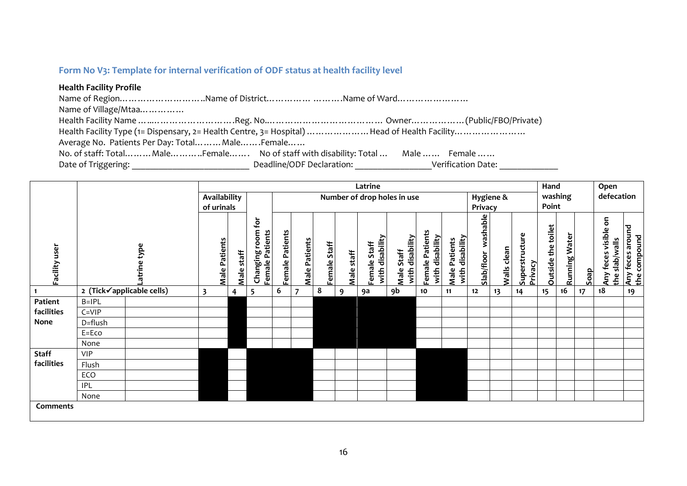### **Form No V3: Template for internal verification of ODF status at health facility level**

#### **Health Facility Profile**

Name of Region……………………………Name of District………… …………Name of Ward……………………… Name of Village/Mtaa…………… Health Facility Name …..……………………….Reg. No.………………………………… Owner………………(Public/FBO/Private) Health Facility Type (1= Dispensary, 2= Health Centre, 3= Hospital) …………………Head of Health Facility……………………… Average No. Patients Per Day: Total………Male…….Female…… No. of staff: Total……… Male………..Female……. No of staff with disability: Total ... Male …… Female …… Date of Triggering: \_\_\_\_\_\_\_\_\_\_\_\_\_\_\_\_\_\_\_\_\_\_\_\_\_\_ Deadline/ODF Declaration: \_\_\_\_\_\_\_\_\_\_\_\_\_\_\_\_\_Verification Date: \_\_\_\_\_\_\_\_\_\_\_\_\_

<span id="page-22-0"></span>

|               | Latrine    |                           |                         |                      |            |                                                        |                 |                      |              |            |                                 |                               |                                    | Hand                                    |                     |             | Open                      |                    |               |      |                                        |                                  |
|---------------|------------|---------------------------|-------------------------|----------------------|------------|--------------------------------------------------------|-----------------|----------------------|--------------|------------|---------------------------------|-------------------------------|------------------------------------|-----------------------------------------|---------------------|-------------|---------------------------|--------------------|---------------|------|----------------------------------------|----------------------------------|
|               |            |                           |                         | Availability         |            |                                                        |                 |                      |              |            |                                 | Number of drop holes in use   |                                    |                                         |                     | Hygiene &   |                           |                    | washing       |      | defecation                             |                                  |
|               |            |                           |                         | of urinals           |            |                                                        | Privacy         |                      |              |            |                                 |                               |                                    |                                         |                     |             |                           | Point              |               |      |                                        |                                  |
| Facility user |            | Latrine type              |                         | <b>Male Patients</b> | Male staff | $\mathbf{\hat{p}}$<br>Changing room<br>Female Patients | Female Patients | <b>Male Patients</b> | Female Staff | Male staff | with disability<br>Female Staff | with disability<br>Male Staff | Female Patients<br>with disability | with disability<br><b>Male Patients</b> | Slab/floor washable | Walls clean | Superstructure<br>Privacy | Outside the toilet | Running Water | deos | Any feces visible on<br>the slab/walls | Any feces around<br>the compound |
|               |            | 2 (Tick√applicable cells) | $\overline{\mathbf{3}}$ |                      | 4          | 5                                                      | 6               | 7                    | 8            | 9          | 9a                              | 9b                            | 10                                 | 11                                      | 12                  | 13          | 14                        | 15                 | 16            | 17   | 18                                     | 19                               |
| Patient       | $B=IPL$    |                           |                         |                      |            |                                                        |                 |                      |              |            |                                 |                               |                                    |                                         |                     |             |                           |                    |               |      |                                        |                                  |
| facilities    | $C = VIP$  |                           |                         |                      |            |                                                        |                 |                      |              |            |                                 |                               |                                    |                                         |                     |             |                           |                    |               |      |                                        |                                  |
| None          | D=flush    |                           |                         |                      |            |                                                        |                 |                      |              |            |                                 |                               |                                    |                                         |                     |             |                           |                    |               |      |                                        |                                  |
|               | E=Eco      |                           |                         |                      |            |                                                        |                 |                      |              |            |                                 |                               |                                    |                                         |                     |             |                           |                    |               |      |                                        |                                  |
|               | None       |                           |                         |                      |            |                                                        |                 |                      |              |            |                                 |                               |                                    |                                         |                     |             |                           |                    |               |      |                                        |                                  |
| <b>Staff</b>  | <b>VIP</b> |                           |                         |                      |            |                                                        |                 |                      |              |            |                                 |                               |                                    |                                         |                     |             |                           |                    |               |      |                                        |                                  |
| facilities    | Flush      |                           |                         |                      |            |                                                        |                 |                      |              |            |                                 |                               |                                    |                                         |                     |             |                           |                    |               |      |                                        |                                  |
|               | ECO        |                           |                         |                      |            |                                                        |                 |                      |              |            |                                 |                               |                                    |                                         |                     |             |                           |                    |               |      |                                        |                                  |
|               | <b>IPL</b> |                           |                         |                      |            |                                                        |                 |                      |              |            |                                 |                               |                                    |                                         |                     |             |                           |                    |               |      |                                        |                                  |
|               | None       |                           |                         |                      |            |                                                        |                 |                      |              |            |                                 |                               |                                    |                                         |                     |             |                           |                    |               |      |                                        |                                  |
| Comments      |            |                           |                         |                      |            |                                                        |                 |                      |              |            |                                 |                               |                                    |                                         |                     |             |                           |                    |               |      |                                        |                                  |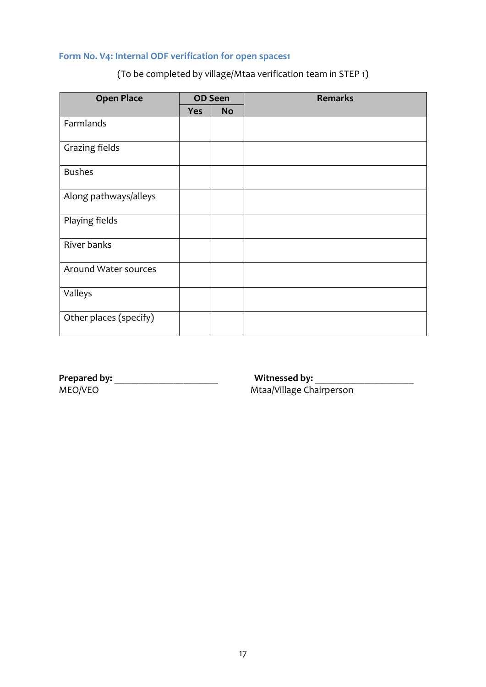## <span id="page-23-0"></span>**Form No. V4: Internal ODF verification for open spaces1**

## (To be completed by village/Mtaa verification team in STEP 1)

| <b>Open Place</b>      |            | <b>OD Seen</b> | <b>Remarks</b> |
|------------------------|------------|----------------|----------------|
|                        | <b>Yes</b> | <b>No</b>      |                |
| Farmlands              |            |                |                |
| Grazing fields         |            |                |                |
| <b>Bushes</b>          |            |                |                |
| Along pathways/alleys  |            |                |                |
| Playing fields         |            |                |                |
| River banks            |            |                |                |
| Around Water sources   |            |                |                |
| Valleys                |            |                |                |
| Other places (specify) |            |                |                |

**Prepared by:** \_\_\_\_\_\_\_\_\_\_\_\_\_\_\_\_\_\_\_\_\_ **Witnessed by:** \_\_\_\_\_\_\_\_\_\_\_\_\_\_\_\_\_\_\_\_

Mtaa/Village Chairperson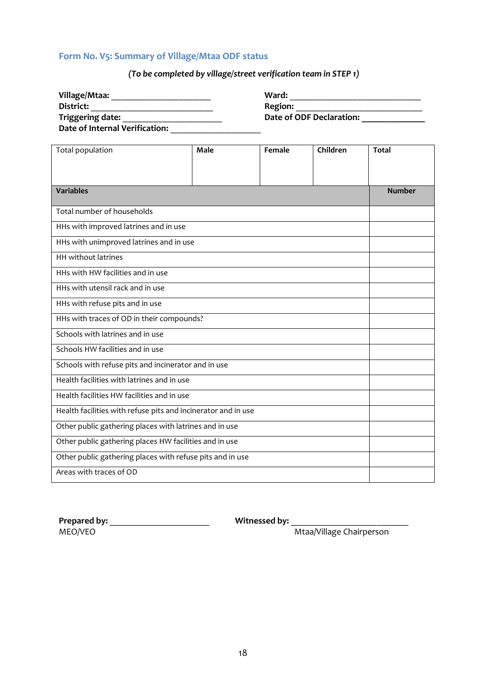### <span id="page-24-0"></span>**Form No. V5: Summary of Village/Mtaa ODF status**

## *(To be completed by village/street verification team in STEP 1)*

| Village/Mtaa:                  | Ward:                    |
|--------------------------------|--------------------------|
| District:                      | <b>Region:</b>           |
| Triggering date:               | Date of ODF Declaration: |
| Date of Internal Verification: |                          |

| Total population                                              | Male          | Female | Children | <b>Total</b> |  |  |  |  |  |  |
|---------------------------------------------------------------|---------------|--------|----------|--------------|--|--|--|--|--|--|
|                                                               |               |        |          |              |  |  |  |  |  |  |
| <b>Variables</b>                                              | <b>Number</b> |        |          |              |  |  |  |  |  |  |
| Total number of households                                    |               |        |          |              |  |  |  |  |  |  |
| HHs with improved latrines and in use                         |               |        |          |              |  |  |  |  |  |  |
| HHs with unimproved latrines and in use                       |               |        |          |              |  |  |  |  |  |  |
| <b>HH</b> without latrines                                    |               |        |          |              |  |  |  |  |  |  |
| HHs with HW facilities and in use                             |               |        |          |              |  |  |  |  |  |  |
| HHs with utensil rack and in use                              |               |        |          |              |  |  |  |  |  |  |
| HHs with refuse pits and in use                               |               |        |          |              |  |  |  |  |  |  |
| HHs with traces of OD in their compounds?                     |               |        |          |              |  |  |  |  |  |  |
| Schools with latrines and in use                              |               |        |          |              |  |  |  |  |  |  |
| Schools HW facilities and in use                              |               |        |          |              |  |  |  |  |  |  |
| Schools with refuse pits and incinerator and in use           |               |        |          |              |  |  |  |  |  |  |
| Health facilities with latrines and in use                    |               |        |          |              |  |  |  |  |  |  |
| Health facilities HW facilities and in use                    |               |        |          |              |  |  |  |  |  |  |
| Health facilities with refuse pits and incinerator and in use |               |        |          |              |  |  |  |  |  |  |
| Other public gathering places with latrines and in use        |               |        |          |              |  |  |  |  |  |  |
| Other public gathering places HW facilities and in use        |               |        |          |              |  |  |  |  |  |  |
| Other public gathering places with refuse pits and in use     |               |        |          |              |  |  |  |  |  |  |
| Areas with traces of OD                                       |               |        |          |              |  |  |  |  |  |  |

**Prepared by:** \_\_\_\_\_\_\_\_\_\_\_\_\_\_\_\_\_\_\_\_\_\_ **Witnessed by:** \_\_\_\_\_\_\_\_\_\_\_\_\_\_\_\_\_\_\_\_\_\_\_\_\_\_

Mtaa/Village Chairperson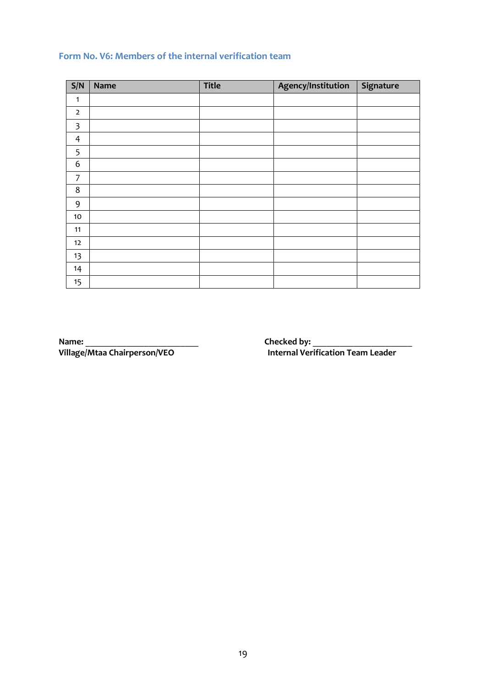## <span id="page-25-0"></span>**Form No. V6: Members of the internal verification team**

| S/N                     | Name | <b>Title</b> | Agency/Institution | Signature |
|-------------------------|------|--------------|--------------------|-----------|
| 1                       |      |              |                    |           |
| $\overline{2}$          |      |              |                    |           |
| $\overline{\mathbf{3}}$ |      |              |                    |           |
| $\overline{4}$          |      |              |                    |           |
| 5                       |      |              |                    |           |
| 6                       |      |              |                    |           |
| 7                       |      |              |                    |           |
| 8                       |      |              |                    |           |
| 9                       |      |              |                    |           |
| 10                      |      |              |                    |           |
| 11                      |      |              |                    |           |
| 12                      |      |              |                    |           |
| 13                      |      |              |                    |           |
| 14                      |      |              |                    |           |
| 15                      |      |              |                    |           |

**Name:** \_\_\_\_\_\_\_\_\_\_\_\_\_\_\_\_\_\_\_\_\_\_\_\_\_ **Checked by:** \_\_\_\_\_\_\_\_\_\_\_\_\_\_\_\_\_\_\_\_\_\_

**Internal Verification Team Leader**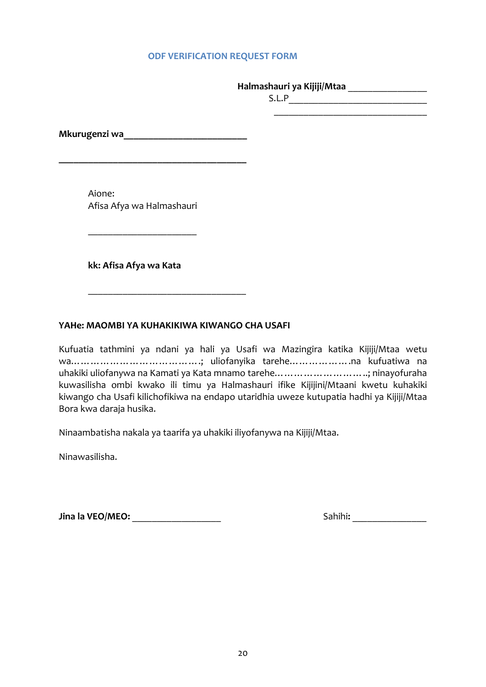#### <span id="page-26-0"></span> **ODF VERIFICATION REQUEST FORM**

#### **Halmashauri ya Kijiji/Mtaa** \_\_\_\_\_\_\_\_\_\_\_\_\_\_\_\_

S.L.P\_\_\_\_\_\_\_\_\_\_\_\_\_\_\_\_\_\_\_\_\_\_\_\_\_\_\_\_ \_\_\_\_\_\_\_\_\_\_\_\_\_\_\_\_\_\_\_\_\_\_\_\_\_\_\_\_\_\_\_

**Mkurugenzi wa\_\_\_\_\_\_\_\_\_\_\_\_\_\_\_\_\_\_\_\_\_\_\_\_\_**

**\_\_\_\_\_\_\_\_\_\_\_\_\_\_\_\_\_\_\_\_\_\_\_\_\_\_\_\_\_\_\_\_\_\_\_\_\_\_**

Aione: Afisa Afya wa Halmashauri

\_\_\_\_\_\_\_\_\_\_\_\_\_\_\_\_\_\_\_\_\_\_

**kk: Afisa Afya wa Kata**

### **YAHe: MAOMBI YA KUHAKIKIWA KIWANGO CHA USAFI**

\_\_\_\_\_\_\_\_\_\_\_\_\_\_\_\_\_\_\_\_\_\_\_\_\_\_\_\_\_\_\_\_

Kufuatia tathmini ya ndani ya hali ya Usafi wa Mazingira katika Kijiji/Mtaa wetu wa………………………………….; uliofanyika tarehe……………….na kufuatiwa na uhakiki uliofanywa na Kamati ya Kata mnamo tarehe………………………..; ninayofuraha kuwasilisha ombi kwako ili timu ya Halmashauri ifike Kijijini/Mtaani kwetu kuhakiki kiwango cha Usafi kilichofikiwa na endapo utaridhia uweze kutupatia hadhi ya Kijiji/Mtaa Bora kwa daraja husika.

Ninaambatisha nakala ya taarifa ya uhakiki iliyofanywa na Kijiji/Mtaa.

Ninawasilisha.

**Jina la VEO/MEO:** \_\_\_\_\_\_\_\_\_\_\_\_\_\_\_\_\_\_ Sahihi**:** \_\_\_\_\_\_\_\_\_\_\_\_\_\_\_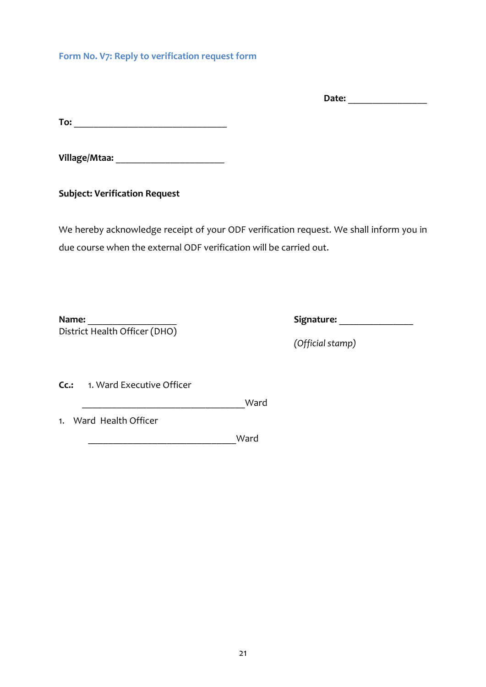<span id="page-27-0"></span>**Form No. V7: Reply to verification request form**

**Date:** \_\_\_\_\_\_\_\_\_\_\_\_\_\_\_\_

**To:** \_\_\_\_\_\_\_\_\_\_\_\_\_\_\_\_\_\_\_\_\_\_\_\_\_\_\_\_\_\_\_

**Village/Mtaa:** \_\_\_\_\_\_\_\_\_\_\_\_\_\_\_\_\_\_\_\_\_\_

**Subject: Verification Request**

We hereby acknowledge receipt of your ODF verification request. We shall inform you in due course when the external ODF verification will be carried out.

**Name:** \_\_\_\_\_\_\_\_\_\_\_\_\_\_\_\_\_\_ **Signature:** \_\_\_\_\_\_\_\_\_\_\_\_\_\_\_ District Health Officer (DHO)

*(Official stamp)*

**Cc.:** 1. Ward Executive Officer

\_\_\_\_\_\_\_\_\_\_\_\_\_\_\_\_\_\_\_\_\_\_\_\_\_\_\_\_\_\_\_\_\_Ward

1. Ward Health Officer

\_\_\_\_\_\_\_\_\_\_\_\_\_\_\_\_\_\_\_\_\_\_\_\_\_\_\_\_\_\_Ward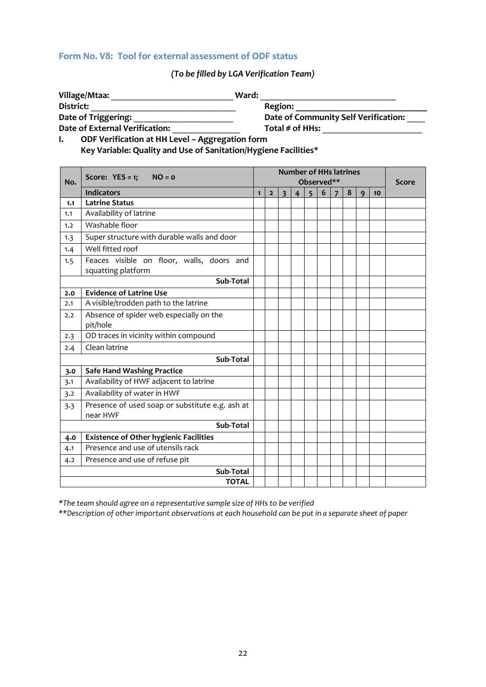#### <span id="page-28-0"></span>**Form No. V8: Tool for external assessment of ODF status**

### *(To be filled by LGA Verification Team)*

|                |                                                                 | Region:<br>Date of Community Self Verification:<br>Total $\#$ of HHs: |                |  |  |  |  |  |  |            |              |  |
|----------------|-----------------------------------------------------------------|-----------------------------------------------------------------------|----------------|--|--|--|--|--|--|------------|--------------|--|
|                |                                                                 |                                                                       |                |  |  |  |  |  |  |            |              |  |
|                | Date of Triggering:                                             |                                                                       |                |  |  |  |  |  |  |            |              |  |
|                | Date of External Verification: _______________                  |                                                                       |                |  |  |  |  |  |  |            |              |  |
| $\mathbf{I}$ . | ODF Verification at HH Level - Aggregation form                 |                                                                       |                |  |  |  |  |  |  |            |              |  |
|                | Key Variable: Quality and Use of Sanitation/Hygiene Facilities* |                                                                       |                |  |  |  |  |  |  |            |              |  |
|                |                                                                 |                                                                       |                |  |  |  |  |  |  |            |              |  |
|                | Score: $YES = 1$ ; $NO = 0$                                     | <b>Number of HHs latrines</b><br>Observed**<br>3 4 5 6 7              |                |  |  |  |  |  |  |            |              |  |
| No.            |                                                                 |                                                                       |                |  |  |  |  |  |  |            | <b>Score</b> |  |
|                | <b>Indicators</b>                                               | $\mathbf{1}$                                                          | $\overline{2}$ |  |  |  |  |  |  | $8 \mid 9$ | 10           |  |
| 1.1            | <b>Latrine Status</b>                                           |                                                                       |                |  |  |  |  |  |  |            |              |  |
| 1.1            | Availability of latrine                                         |                                                                       |                |  |  |  |  |  |  |            |              |  |
| 1.2            | Washable floor                                                  |                                                                       |                |  |  |  |  |  |  |            |              |  |
| 1.3            | Super structure with durable walls and door                     |                                                                       |                |  |  |  |  |  |  |            |              |  |
| 1.4            | Well fitted roof                                                |                                                                       |                |  |  |  |  |  |  |            |              |  |
| 1.5            | Feaces visible on floor, walls, doors and<br>squatting platform |                                                                       |                |  |  |  |  |  |  |            |              |  |
|                | Sub-Total                                                       |                                                                       |                |  |  |  |  |  |  |            |              |  |
| 2.0            | <b>Evidence of Latrine Use</b>                                  |                                                                       |                |  |  |  |  |  |  |            |              |  |
| 2.1            | A visible/trodden path to the latrine                           |                                                                       |                |  |  |  |  |  |  |            |              |  |
| 2.2            | Absence of spider web especially on the<br>pit/hole             |                                                                       |                |  |  |  |  |  |  |            |              |  |
| 2.3            | OD traces in vicinity within compound                           |                                                                       |                |  |  |  |  |  |  |            |              |  |
| 2.4            | Clean latrine                                                   |                                                                       |                |  |  |  |  |  |  |            |              |  |
|                | Sub-Total                                                       |                                                                       |                |  |  |  |  |  |  |            |              |  |
| 3.0            | <b>Safe Hand Washing Practice</b>                               |                                                                       |                |  |  |  |  |  |  |            |              |  |
| 3.1            | Availability of HWF adjacent to latrine                         |                                                                       |                |  |  |  |  |  |  |            |              |  |
| 3.2            | Availability of water in HWF                                    |                                                                       |                |  |  |  |  |  |  |            |              |  |
| 3.3            | Presence of used soap or substitute e.g. ash at<br>near HWF     |                                                                       |                |  |  |  |  |  |  |            |              |  |
|                | Sub-Total                                                       |                                                                       |                |  |  |  |  |  |  |            |              |  |
| 4.0            | <b>Existence of Other hygienic Facilities</b>                   |                                                                       |                |  |  |  |  |  |  |            |              |  |
| 4.1            | Presence and use of utensils rack                               |                                                                       |                |  |  |  |  |  |  |            |              |  |
| 4.2            | Presence and use of refuse pit                                  |                                                                       |                |  |  |  |  |  |  |            |              |  |
|                | Sub-Total                                                       |                                                                       |                |  |  |  |  |  |  |            |              |  |
|                | <b>TOTAL</b>                                                    |                                                                       |                |  |  |  |  |  |  |            |              |  |

*\*The team should agree on a representative sample size of HHs to be verified*

*\*\*Description of other important observations at each household can be put in a separate sheet of paper*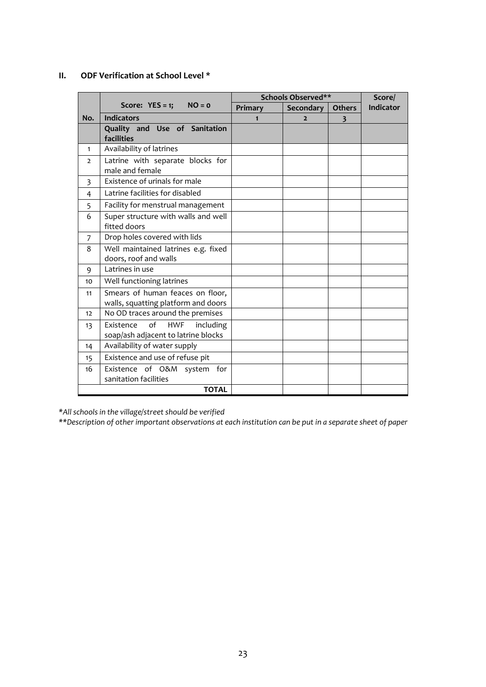#### **II. ODF Verification at School Level \***

|                |                                            | Schools Observed** | Score/         |                         |           |
|----------------|--------------------------------------------|--------------------|----------------|-------------------------|-----------|
|                | Score: $YES = 1$ ; $NO = 0$                | Primary            | Secondary      | <b>Others</b>           | Indicator |
| No.            | <b>Indicators</b>                          | $\mathbf{1}$       | $\overline{2}$ | $\overline{\mathbf{3}}$ |           |
|                | Quality and Use of Sanitation              |                    |                |                         |           |
|                | facilities                                 |                    |                |                         |           |
| 1              | Availability of latrines                   |                    |                |                         |           |
| $\overline{2}$ | Latrine with separate blocks for           |                    |                |                         |           |
|                | male and female                            |                    |                |                         |           |
| 3              | Existence of urinals for male              |                    |                |                         |           |
| 4              | Latrine facilities for disabled            |                    |                |                         |           |
| 5              | Facility for menstrual management          |                    |                |                         |           |
| 6              | Super structure with walls and well        |                    |                |                         |           |
|                | fitted doors                               |                    |                |                         |           |
| 7              | Drop holes covered with lids               |                    |                |                         |           |
| 8              | Well maintained latrines e.g. fixed        |                    |                |                         |           |
|                | doors, roof and walls                      |                    |                |                         |           |
| 9              | Latrines in use                            |                    |                |                         |           |
| 10             | Well functioning latrines                  |                    |                |                         |           |
| 11             | Smears of human feaces on floor,           |                    |                |                         |           |
|                | walls, squatting platform and doors        |                    |                |                         |           |
| 12             | No OD traces around the premises           |                    |                |                         |           |
| 13             | of<br><b>HWF</b><br>Existence<br>including |                    |                |                         |           |
|                | soap/ash adjacent to latrine blocks        |                    |                |                         |           |
| 14             | Availability of water supply               |                    |                |                         |           |
| 15             | Existence and use of refuse pit            |                    |                |                         |           |
| 16             | Existence of O&M system<br>for             |                    |                |                         |           |
|                | sanitation facilities                      |                    |                |                         |           |
|                | <b>TOTAL</b>                               |                    |                |                         |           |

*\*All schools in the village/street should be verified*

*\*\*Description of other important observations at each institution can be put in a separate sheet of paper*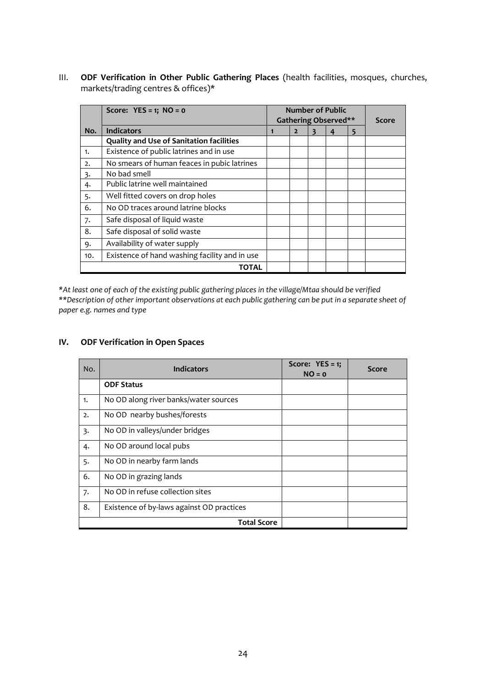III. **ODF Verification in Other Public Gathering Places** (health facilities, mosques, churches, markets/trading centres & offices)\*

|     | Score: $YES = 1$ ; $NO = 0$                     | <b>Number of Public</b> |                |   |   |  |
|-----|-------------------------------------------------|-------------------------|----------------|---|---|--|
|     |                                                 | Gathering Observed**    | Score          |   |   |  |
| No. | <b>Indicators</b>                               | 1                       | $\overline{2}$ | 4 | 5 |  |
|     | <b>Quality and Use of Sanitation facilities</b> |                         |                |   |   |  |
| 1.  | Existence of public latrines and in use         |                         |                |   |   |  |
| 2.  | No smears of human feaces in pubic latrines     |                         |                |   |   |  |
| 3.  | No bad smell                                    |                         |                |   |   |  |
| 4.  | Public latrine well maintained                  |                         |                |   |   |  |
| 5.  | Well fitted covers on drop holes                |                         |                |   |   |  |
| 6.  | No OD traces around latrine blocks              |                         |                |   |   |  |
| 7.  | Safe disposal of liquid waste                   |                         |                |   |   |  |
| 8.  | Safe disposal of solid waste                    |                         |                |   |   |  |
| 9.  | Availability of water supply                    |                         |                |   |   |  |
| 10. | Existence of hand washing facility and in use   |                         |                |   |   |  |
|     | TOTAL                                           |                         |                |   |   |  |

*\*At least one of each of the existing public gathering places in the village/Mtaa should be verified \*\*Description of other important observations at each public gathering can be put in a separate sheet of paper e.g. names and type*

### **IV. ODF Verification in Open Spaces**

| No. | <b>Indicators</b>                         | Score: $YES = 1;$<br>$NO = 0$ | <b>Score</b> |
|-----|-------------------------------------------|-------------------------------|--------------|
|     | <b>ODF Status</b>                         |                               |              |
| 1.  | No OD along river banks/water sources     |                               |              |
| 2.  | No OD nearby bushes/forests               |                               |              |
| 3.  | No OD in valleys/under bridges            |                               |              |
| 4.  | No OD around local pubs                   |                               |              |
| 5.  | No OD in nearby farm lands                |                               |              |
| 6.  | No OD in grazing lands                    |                               |              |
| 7.  | No OD in refuse collection sites          |                               |              |
| 8.  | Existence of by-laws against OD practices |                               |              |
|     | <b>Total Score</b>                        |                               |              |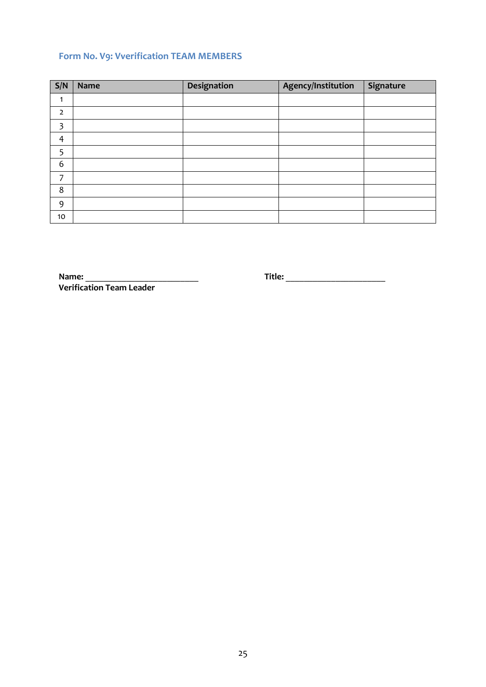## <span id="page-31-0"></span>**Form No. V9: Vverification TEAM MEMBERS**

| S/N            | <b>Name</b> | Designation | Agency/Institution | Signature |
|----------------|-------------|-------------|--------------------|-----------|
| 1              |             |             |                    |           |
| $\overline{2}$ |             |             |                    |           |
| 3              |             |             |                    |           |
| $\overline{4}$ |             |             |                    |           |
| 5              |             |             |                    |           |
| 6              |             |             |                    |           |
| ᄀ              |             |             |                    |           |
| 8              |             |             |                    |           |
| 9              |             |             |                    |           |
| 10             |             |             |                    |           |

**Name:** \_\_\_\_\_\_\_\_\_\_\_\_\_\_\_\_\_\_\_\_\_\_\_\_\_ **Title:** \_\_\_\_\_\_\_\_\_\_\_\_\_\_\_\_\_\_\_\_\_\_ **Verification Team Leader**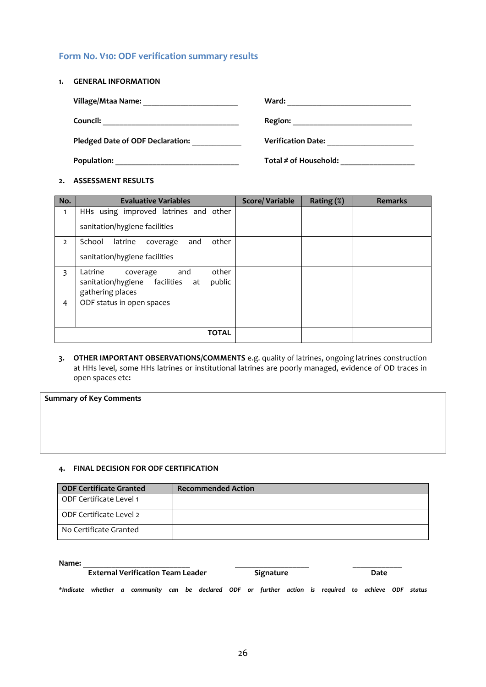### <span id="page-32-0"></span>**Form No. V10: ODF verification summary results**

**1. GENERAL INFORMATION**

| <b>Village/Mtaa Name:</b>               | Ward:                     |
|-----------------------------------------|---------------------------|
| Council:                                | Region:                   |
| <b>Pledged Date of ODF Declaration:</b> | <b>Verification Date:</b> |
| Population:                             | Total # of Household:     |

#### **2. ASSESSMENT RESULTS**

| No.            | <b>Evaluative Variables</b>                                       | <b>Score/Variable</b> | Rating $(\%)$ | <b>Remarks</b> |
|----------------|-------------------------------------------------------------------|-----------------------|---------------|----------------|
| $\mathbf{1}$   | HHs using improved latrines and other                             |                       |               |                |
|                | sanitation/hygiene facilities                                     |                       |               |                |
| $\overline{2}$ | School<br>other<br>latrine<br>and<br>coverage                     |                       |               |                |
|                | sanitation/hygiene facilities                                     |                       |               |                |
| 3              | other<br>Latrine<br>and<br>coverage                               |                       |               |                |
|                | sanitation/hygiene facilities<br>public<br>at<br>gathering places |                       |               |                |
| 4              | ODF status in open spaces                                         |                       |               |                |
|                |                                                                   |                       |               |                |
|                |                                                                   |                       |               |                |
|                | <b>TOTAL</b>                                                      |                       |               |                |

**3. OTHER IMPORTANT OBSERVATIONS/COMMENTS** e.g. quality of latrines, ongoing latrines construction at HHs level, some HHs latrines or institutional latrines are poorly managed, evidence of OD traces in open spaces etc**:**

**Summary of Key Comments**

#### **4. FINAL DECISION FOR ODF CERTIFICATION**

| <b>ODF Certificate Granted</b> | <b>Recommended Action</b> |
|--------------------------------|---------------------------|
| ODF Certificate Level 1        |                           |
| ODF Certificate Level 2        |                           |
| No Certificate Granted         |                           |

#### **Name:** \_\_\_\_\_\_\_\_\_\_\_\_\_\_\_\_\_\_\_\_\_\_\_\_\_\_ \_\_\_\_\_\_\_\_\_\_\_\_\_\_\_\_\_\_ \_\_\_\_\_\_\_\_\_\_\_\_

| <b>External Verification Team Leader</b> |  |  |                                                                                                       |  | Signature |  |  |  | Date |  |  |  |  |  |  |
|------------------------------------------|--|--|-------------------------------------------------------------------------------------------------------|--|-----------|--|--|--|------|--|--|--|--|--|--|
|                                          |  |  | *Indicate whether a community can be declared ODF or further action is required to achieve ODF status |  |           |  |  |  |      |  |  |  |  |  |  |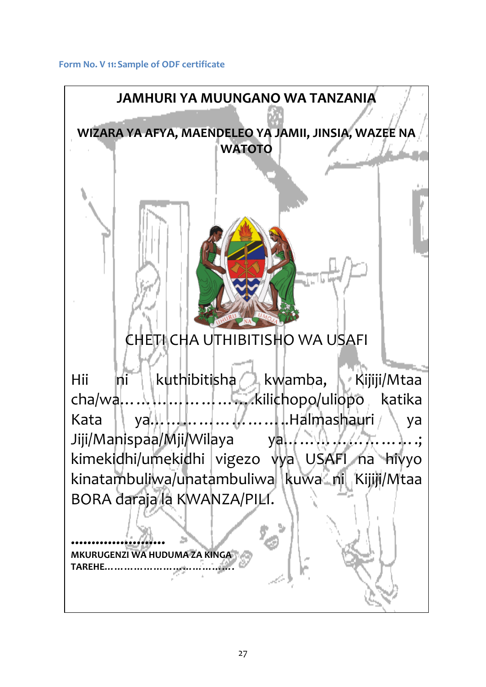<span id="page-33-0"></span>**Form No. V 11:Sample of ODF certificate**